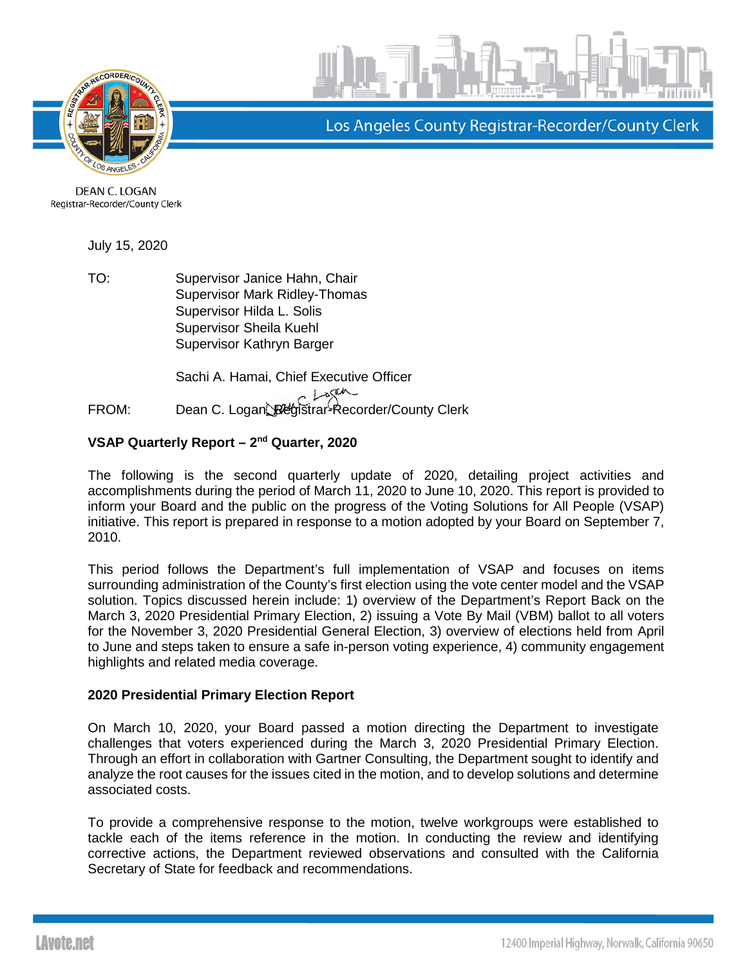



Los Angeles County Registrar-Recorder/County Clerk

DEAN C. LOGAN Registrar-Recorder/County Clerk

July 15, 2020

TO: Supervisor Janice Hahn, Chair Supervisor Mark Ridley-Thomas Supervisor Hilda L. Solis Supervisor Sheila Kuehl Supervisor Kathryn Barger

Sachi A. Hamai, Chief Executive Officer FROM: Dean C. Logan, Registrar-Recorder/County Clerk

# **VSAP Quarterly Report – 2nd Quarter, 2020**

The following is the second quarterly update of 2020, detailing project activities and accomplishments during the period of March 11, 2020 to June 10, 2020. This report is provided to inform your Board and the public on the progress of the Voting Solutions for All People (VSAP) initiative. This report is prepared in response to a motion adopted by your Board on September 7, 2010.

This period follows the Department's full implementation of VSAP and focuses on items surrounding administration of the County's first election using the vote center model and the VSAP solution. Topics discussed herein include: 1) overview of the Department's Report Back on the March 3, 2020 Presidential Primary Election, 2) issuing a Vote By Mail (VBM) ballot to all voters for the November 3, 2020 Presidential General Election, 3) overview of elections held from April to June and steps taken to ensure a safe in-person voting experience, 4) community engagement highlights and related media coverage.

# **2020 Presidential Primary Election Report**

On March 10, 2020, your Board passed a motion directing the Department to investigate challenges that voters experienced during the March 3, 2020 Presidential Primary Election. Through an effort in collaboration with Gartner Consulting, the Department sought to identify and analyze the root causes for the issues cited in the motion, and to develop solutions and determine associated costs.

To provide a comprehensive response to the motion, twelve workgroups were established to tackle each of the items reference in the motion. In conducting the review and identifying corrective actions, the Department reviewed observations and consulted with the California Secretary of State for feedback and recommendations.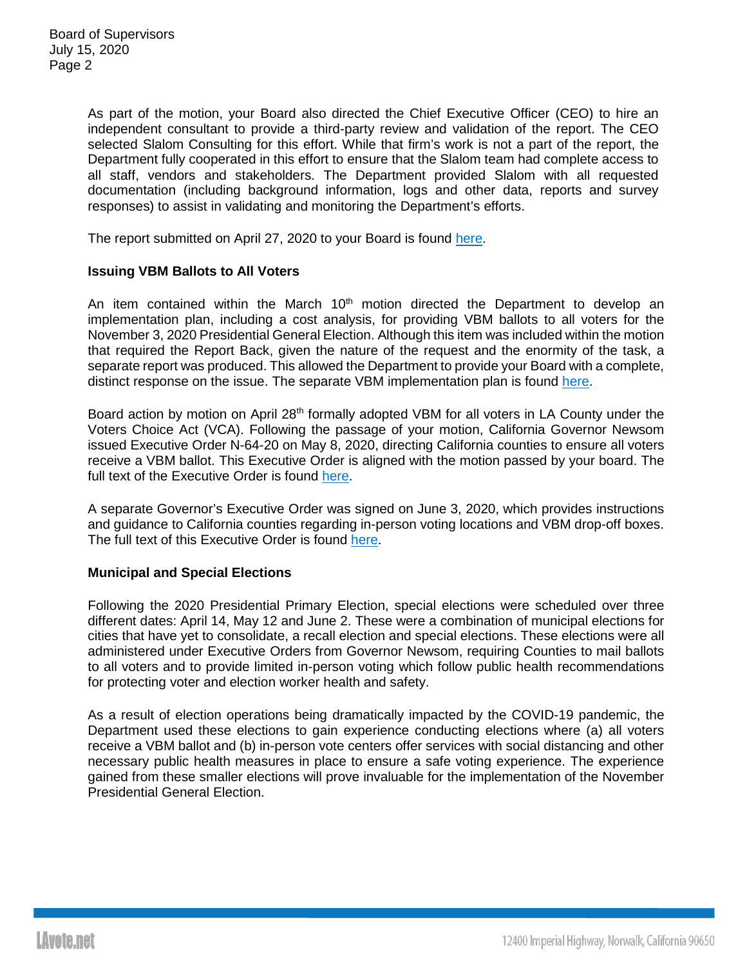As part of the motion, your Board also directed the Chief Executive Officer (CEO) to hire an independent consultant to provide a third-party review and validation of the report. The CEO selected Slalom Consulting for this effort. While that firm's work is not a part of the report, the Department fully cooperated in this effort to ensure that the Slalom team had complete access to all staff, vendors and stakeholders. The Department provided Slalom with all requested documentation (including background information, logs and other data, reports and survey responses) to assist in validating and monitoring the Department's efforts.

The report submitted on April 27, 2020 to your Board is found [here.](https://lavote.net/docs/rrcc/board-correspondence/VSAP-Board-Report.pdf)

## **Issuing VBM Ballots to All Voters**

An item contained within the March  $10<sup>th</sup>$  motion directed the Department to develop an implementation plan, including a cost analysis, for providing VBM ballots to all voters for the November 3, 2020 Presidential General Election. Although this item was included within the motion that required the Report Back, given the nature of the request and the enormity of the task, a separate report was produced. This allowed the Department to provide your Board with a complete, distinct response on the issue. The separate VBM implementation plan is found [here.](https://lavote.net/docs/rrcc/board-correspondence/VSAP-VBM-Implementation-Report.pdf)

Board action by motion on April 28<sup>th</sup> formally adopted VBM for all voters in LA County under the Voters Choice Act (VCA). Following the passage of your motion, California Governor Newsom issued Executive Order N-64-20 on May 8, 2020, directing California counties to ensure all voters receive a VBM ballot. This Executive Order is aligned with the motion passed by your board. The full text of the Executive Order is found [here.](https://www.gov.ca.gov/wp-content/uploads/2020/05/05.08.2020-EO-N-64-20-text.pdf)

A separate Governor's Executive Order was signed on June 3, 2020, which provides instructions and guidance to California counties regarding in-person voting locations and VBM drop-off boxes. The full text of this Executive Order is found [here.](https://www.gov.ca.gov/wp-content/uploads/2020/06/6.3.20-EO-N-67-20.docx.pdf)

### **Municipal and Special Elections**

Following the 2020 Presidential Primary Election, special elections were scheduled over three different dates: April 14, May 12 and June 2. These were a combination of municipal elections for cities that have yet to consolidate, a recall election and special elections. These elections were all administered under Executive Orders from Governor Newsom, requiring Counties to mail ballots to all voters and to provide limited in-person voting which follow public health recommendations for protecting voter and election worker health and safety.

As a result of election operations being dramatically impacted by the COVID-19 pandemic, the Department used these elections to gain experience conducting elections where (a) all voters receive a VBM ballot and (b) in-person vote centers offer services with social distancing and other necessary public health measures in place to ensure a safe voting experience. The experience gained from these smaller elections will prove invaluable for the implementation of the November Presidential General Election.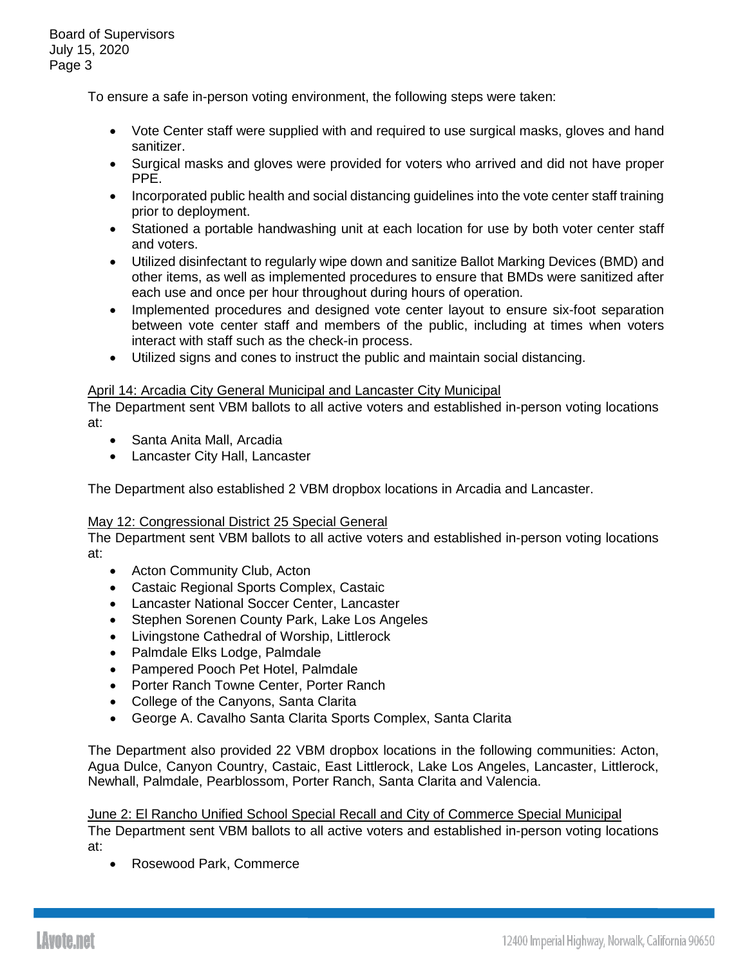To ensure a safe in-person voting environment, the following steps were taken:

- Vote Center staff were supplied with and required to use surgical masks, gloves and hand sanitizer.
- Surgical masks and gloves were provided for voters who arrived and did not have proper PPE.
- Incorporated public health and social distancing guidelines into the vote center staff training prior to deployment.
- Stationed a portable handwashing unit at each location for use by both voter center staff and voters.
- Utilized disinfectant to regularly wipe down and sanitize Ballot Marking Devices (BMD) and other items, as well as implemented procedures to ensure that BMDs were sanitized after each use and once per hour throughout during hours of operation.
- Implemented procedures and designed vote center layout to ensure six-foot separation between vote center staff and members of the public, including at times when voters interact with staff such as the check-in process.
- Utilized signs and cones to instruct the public and maintain social distancing.

# April 14: Arcadia City General Municipal and Lancaster City Municipal

The Department sent VBM ballots to all active voters and established in-person voting locations at:

- Santa Anita Mall, Arcadia
- Lancaster City Hall, Lancaster

The Department also established 2 VBM dropbox locations in Arcadia and Lancaster.

# May 12: Congressional District 25 Special General

The Department sent VBM ballots to all active voters and established in-person voting locations at:

- Acton Community Club, Acton
- Castaic Regional Sports Complex, Castaic
- Lancaster National Soccer Center, Lancaster
- Stephen Sorenen County Park, Lake Los Angeles
- Livingstone Cathedral of Worship, Littlerock
- Palmdale Elks Lodge, Palmdale
- Pampered Pooch Pet Hotel, Palmdale
- Porter Ranch Towne Center, Porter Ranch
- College of the Canyons, Santa Clarita
- George A. Cavalho Santa Clarita Sports Complex, Santa Clarita

The Department also provided 22 VBM dropbox locations in the following communities: Acton, Agua Dulce, Canyon Country, Castaic, East Littlerock, Lake Los Angeles, Lancaster, Littlerock, Newhall, Palmdale, Pearblossom, Porter Ranch, Santa Clarita and Valencia.

June 2: El Rancho Unified School Special Recall and City of Commerce Special Municipal The Department sent VBM ballots to all active voters and established in-person voting locations

at:

• Rosewood Park, Commerce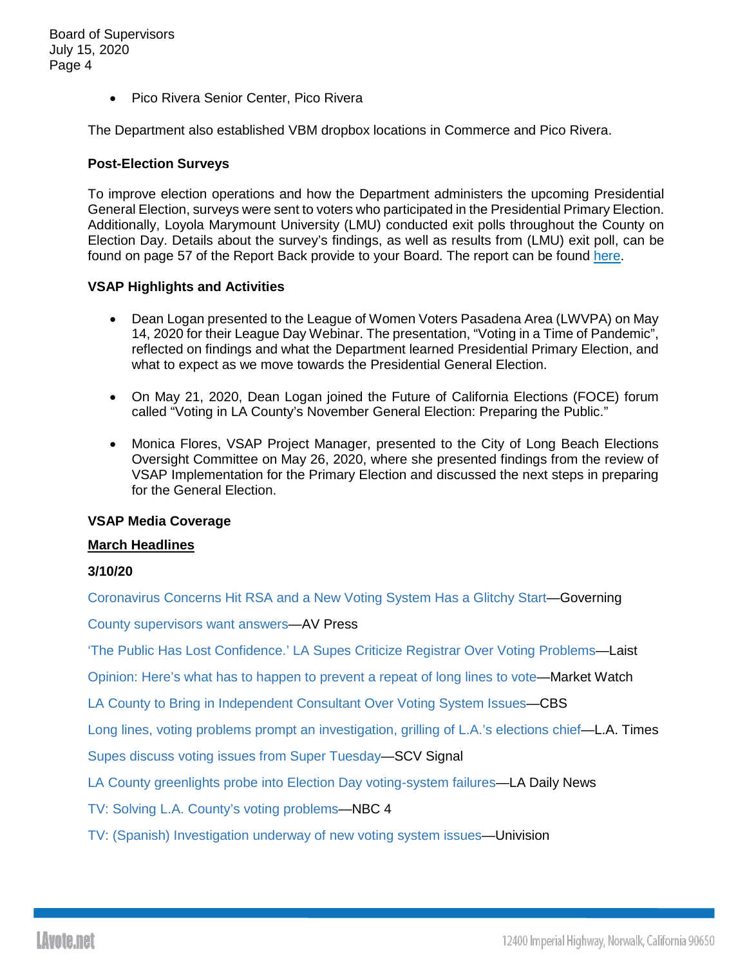• Pico Rivera Senior Center, Pico Rivera

The Department also established VBM dropbox locations in Commerce and Pico Rivera.

### **Post-Election Surveys**

To improve election operations and how the Department administers the upcoming Presidential General Election, surveys were sent to voters who participated in the Presidential Primary Election. Additionally, Loyola Marymount University (LMU) conducted exit polls throughout the County on Election Day. Details about the survey's findings, as well as results from (LMU) exit poll, can be found on page 57 of the Report Back provide to your Board. The report can be found [here.](https://lavote.net/docs/rrcc/board-correspondence/VSAP-Board-Report.pdf)

## **VSAP Highlights and Activities**

- Dean Logan presented to the League of Women Voters Pasadena Area (LWVPA) on May 14, 2020 for their League Day Webinar. The presentation, "Voting in a Time of Pandemic", reflected on findings and what the Department learned Presidential Primary Election, and what to expect as we move towards the Presidential General Election.
- On May 21, 2020, Dean Logan joined the Future of California Elections (FOCE) forum called "Voting in LA County's November General Election: Preparing the Public."
- Monica Flores, VSAP Project Manager, presented to the City of Long Beach Elections Oversight Committee on May 26, 2020, where she presented findings from the review of VSAP Implementation for the Primary Election and discussed the next steps in preparing for the General Election.

### **VSAP Media Coverage**

### **March Headlines**

# **3/10/20**

[Coronavirus Concerns Hit RSA and a New Voting System Has a Glitchy Start—](https://www.governing.com/security/Coronavirus-Concerns-RSA-and-New-Voting-System-Has-Glitchy-Start.html)Governing

[County supervisors want answers—](https://www.avpress.com/opinion/editorial/county-supervisors-want-answers/article_443081e6-6270-11ea-a56f-2bbad020df5a.html)AV Press

['The Public Has Lost Confidence.' LA Supes Criticize Registrar Over Voting Problems—](https://laist.com/latest/post/20200310/6691f25e302dca89e095cd7489309e2dead3ebbf)Laist

[Opinion: Here's what has to happen to prevent a repeat of long lines to vote—](https://www.marketwatch.com/story/heres-what-has-to-happen-to-prevent-a-repeat-of-long-lines-to-vote-2020-03-10)Market Watch

LA County to Bring in [Independent Consultant Over Voting System Issues—](https://losangeles.cbslocal.com/2020/03/10/election-2020-la-county-independent-consultant-voting-issues/)CBS

[Long lines, voting problems prompt an investigation, grilling of L.A.'s elections chief—](https://www.latimes.com/california/story/2020-03-10/election-los-angeles-county-voting-problems-dean-logan)L.A. Times

[Supes discuss voting issues from Super Tuesday—](https://signalscv.com/2020/03/supes-discuss-voting-issues-from-super-tuesday/?utm_content=&utm_medium=email&utm_name=&utm_source=govdelivery&utm_term=)SCV Signal

[LA County greenlights probe into Election Day voting-system failures—](https://www.dailynews.com/2020/03/10/la-county-greenlights-probe-into-election-day-voting-system-failures/?utm_content=&utm_medium=email&utm_name=&utm_source=govdelivery&utm_term=)LA Daily News

[TV: Solving L.A. County's voting problems—](http://mms.tveyes.com/MediaView/?c3RhdGlvbj0zMDYmU3RhcnREYXRlVGltZT0wMyUyZjEwJTJmMjAyMCsxNyUzYTU2JTNhMjkmRW5kRGF0ZVRpbWU9MDMlMmYxMCUyZjIwMjArMTclM2E1OSUzYTIwJiYmZHVyYXRpb249MTI1NTcwJnBhcnRuZXJpZD03MzEzJiZoaWdobGlnaHRyZWdleD0lNWNicmVnaXN0cmFyJTVjYiU3YyU1Y2JMLkEuJTVjYiU3YyU1Y2Jjb3VudHklNWNiJm1vZGVkaXRvcmVuYWJsZT10cnVlJm1vZGVkaXRvcmRlc3RpbmF0aW9ucz00JiZleHBpcmF0aW9uPTA0JTJmMDklMmYyMDIwKzE3JTNhNTYlM2EyOS4wMDAmaW5zdGFudFBsYXk9VHJ1ZSZzaWduYXR1cmU9YTlhZDA3ZjA0NDBhZDA5YjgzMjViM2ZjOGJiOTNjMDI=)NBC 4

[TV: \(Spanish\) Investigation underway of new voting system issues—](http://mms.tveyes.com/MediaView/?c3RhdGlvbj0yNTk1JlN0YXJ0RGF0ZVRpbWU9MDMlMmYxMCUyZjIwMjArMDUlM2E1NiUzYTA1JkVuZERhdGVUaW1lPTAzJTJmMTAlMmYyMDIwKzA1JTNhNTYlM2EyMyYmJmR1cmF0aW9uPTE3Nzg2MyZwYXJ0bmVyaWQ9NzMxMyYmaGlnaGxpZ2h0cmVnZXg9JTVjYmp1bnRhK2RlK3N1cGVydmlzb3JlcyU1Y2IlN2MlNWNiY29uZGFkbyU1Y2IlN2MlNWNibG9zKyVjMyVhMU5HRUxFUyU1Y2ImbW9kZWRpdG9yZW5hYmxlPXRydWUmbW9kZWRpdG9yZGVzdGluYXRpb25zPTQmJmV4cGlyYXRpb249MDQlMmYwOSUyZjIwMjArMDUlM2E1NiUzYTA1LjAwMCZpbnN0YW50UGxheT1UcnVlJnNpZ25hdHVyZT05NWQ2YzE2ZWRhZjYxNjkxMWYyMzgyYmVkMmMzYWRjOQ==)Univision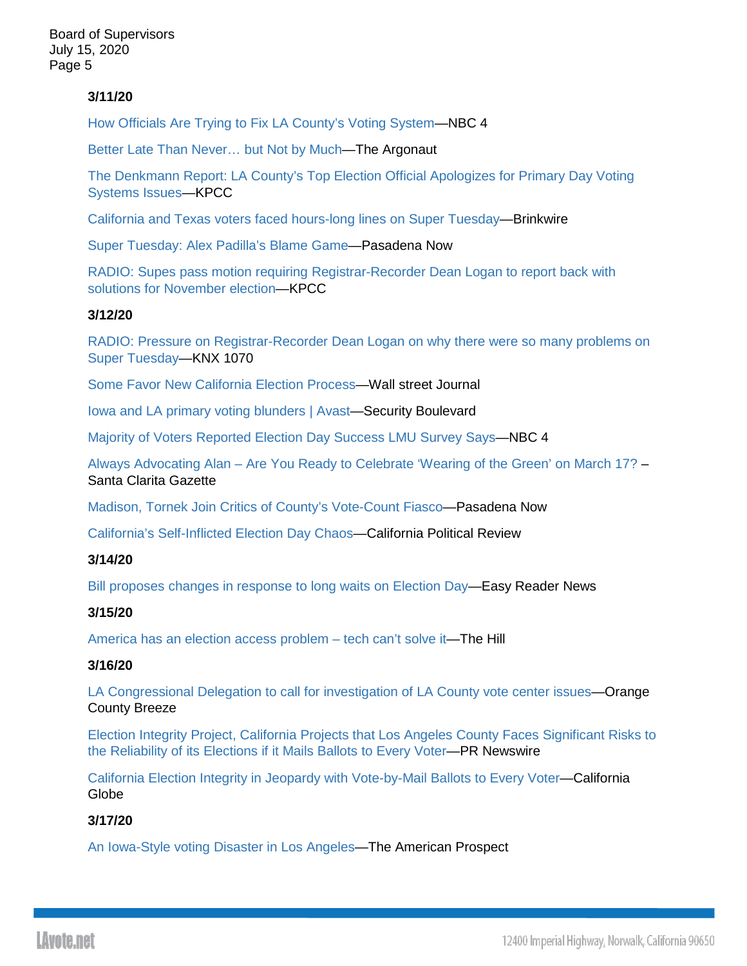# **3/11/20**

[How Officials Are Trying to Fix LA County's Voting System—](https://www.nbclosangeles.com/on-air/how-officials-are-trying-to-fix-la-countys-voting-system/2326612/)NBC 4

[Better Late Than Never… but Not by](https://argonautnews.com/better-late-than-never-but-not-by-much/) Much—The Argonaut

[The Denkmann Report: LA County's Top Election Official Apologizes for](https://www.scpr.org/programs/airtalk/2020/03/11/65405/the-denkmann-report-la-county-s-top-election-offic/) Primary Day Voting [Systems Issues—](https://www.scpr.org/programs/airtalk/2020/03/11/65405/the-denkmann-report-la-county-s-top-election-offic/)KPCC

[California and Texas voters faced hours-long lines on Super Tuesday—](https://en.brinkwire.com/canada/california-and-texas-voters-faced-hours-long-lines-on-super-tuesday/)Brinkwire

[Super Tuesday: Alex Padilla's Blame Game—](http://www.pasadenanow.com/main/we-get-letters-10/#.Xmq136hKi70)Pasadena Now

[RADIO: Supes pass motion requiring Registrar-Recorder Dean Logan to report back with](http://mms.tveyes.com/MediaView/?c3RhdGlvbj02NDYwJlN0YXJ0RGF0ZVRpbWU9MDMlMmYxMSUyZjIwMjArMDYlM2EzMSUzYTE3JkVuZERhdGVUaW1lPTAzJTJmMTElMmYyMDIwKzA2JTNhMzIlM2EyNSYmJmR1cmF0aW9uPTI5ODYxMCZwYXJ0bmVyaWQ9NzMxMyYmaGlnaGxpZ2h0cmVnZXg9JTVjYmJvYXJkK29mK3N1cGVydmlzb3JzJTVjYiU3YyU1Y2JzdXBlcnZpc29yK0phbmljZStIYWhuJTVjYiU3YyU1Y2JMLkEuJTVjYiU3YyU1Y2JDb3VudHklNWNiJTdjJTVjYkRpc3RyaWN0K2F0dG9ybmV5JTVjYiU3YyU1Y2JKYWNraWUrTGFjZXklNWNiJTdjJTVjYmNvdW50eSU1Y2IlN2MlNWNicmVnaXN0cmFyJTVjYiZtb2RlZGl0b3JlbmFibGU9dHJ1ZSZtb2RlZGl0b3JkZXN0aW5hdGlvbnM9NCYmZXhwaXJhdGlvbj0wNCUyZjEwJTJmMjAyMCswNiUzYTMxJTNhMTcuMDAwJmluc3RhbnRQbGF5PVRydWUmc2lnbmF0dXJlPWQyODUxNmI3YTdlZGUzM2UwZGM4ZTk0MDVkYjM2YzMw)  [solutions for November election—](http://mms.tveyes.com/MediaView/?c3RhdGlvbj02NDYwJlN0YXJ0RGF0ZVRpbWU9MDMlMmYxMSUyZjIwMjArMDYlM2EzMSUzYTE3JkVuZERhdGVUaW1lPTAzJTJmMTElMmYyMDIwKzA2JTNhMzIlM2EyNSYmJmR1cmF0aW9uPTI5ODYxMCZwYXJ0bmVyaWQ9NzMxMyYmaGlnaGxpZ2h0cmVnZXg9JTVjYmJvYXJkK29mK3N1cGVydmlzb3JzJTVjYiU3YyU1Y2JzdXBlcnZpc29yK0phbmljZStIYWhuJTVjYiU3YyU1Y2JMLkEuJTVjYiU3YyU1Y2JDb3VudHklNWNiJTdjJTVjYkRpc3RyaWN0K2F0dG9ybmV5JTVjYiU3YyU1Y2JKYWNraWUrTGFjZXklNWNiJTdjJTVjYmNvdW50eSU1Y2IlN2MlNWNicmVnaXN0cmFyJTVjYiZtb2RlZGl0b3JlbmFibGU9dHJ1ZSZtb2RlZGl0b3JkZXN0aW5hdGlvbnM9NCYmZXhwaXJhdGlvbj0wNCUyZjEwJTJmMjAyMCswNiUzYTMxJTNhMTcuMDAwJmluc3RhbnRQbGF5PVRydWUmc2lnbmF0dXJlPWQyODUxNmI3YTdlZGUzM2UwZGM4ZTk0MDVkYjM2YzMw)KPCC

## **3/12/20**

[RADIO: Pressure on Registrar-Recorder Dean Logan on why there were so many problems on](http://mms.tveyes.com/MediaView/?c3RhdGlvbj02NDU1JlN0YXJ0RGF0ZVRpbWU9MDMlMmYxMiUyZjIwMjArMDYlM2EyNCUzYTM3JkVuZERhdGVUaW1lPTAzJTJmMTIlMmYyMDIwKzA2JTNhMjUlM2E0NyYmJmR1cmF0aW9uPTI5NTgxMCZwYXJ0bmVyaWQ9NzMxMyYmaGlnaGxpZ2h0cmVnZXg9JTVjYkwuQS4lNWNiJTdjJTVjYkNvdW50eSU1Y2IlN2MlNWNic3VwZXJ2aXNvcitKYW5pY2UrSGFobiU1Y2ImbW9kZWRpdG9yZW5hYmxlPXRydWUmbW9kZWRpdG9yZGVzdGluYXRpb25zPTQmJmV4cGlyYXRpb249MDQlMmYxMSUyZjIwMjArMDYlM2EyNCUzYTM3LjAwMCZpbnN0YW50UGxheT1UcnVlJnNpZ25hdHVyZT05MmFjMjY2MGIwZTI0N2M5ZGU4ODNkZWM2MDY3ZjRmYQ==)  [Super Tuesday—](http://mms.tveyes.com/MediaView/?c3RhdGlvbj02NDU1JlN0YXJ0RGF0ZVRpbWU9MDMlMmYxMiUyZjIwMjArMDYlM2EyNCUzYTM3JkVuZERhdGVUaW1lPTAzJTJmMTIlMmYyMDIwKzA2JTNhMjUlM2E0NyYmJmR1cmF0aW9uPTI5NTgxMCZwYXJ0bmVyaWQ9NzMxMyYmaGlnaGxpZ2h0cmVnZXg9JTVjYkwuQS4lNWNiJTdjJTVjYkNvdW50eSU1Y2IlN2MlNWNic3VwZXJ2aXNvcitKYW5pY2UrSGFobiU1Y2ImbW9kZWRpdG9yZW5hYmxlPXRydWUmbW9kZWRpdG9yZGVzdGluYXRpb25zPTQmJmV4cGlyYXRpb249MDQlMmYxMSUyZjIwMjArMDYlM2EyNCUzYTM3LjAwMCZpbnN0YW50UGxheT1UcnVlJnNpZ25hdHVyZT05MmFjMjY2MGIwZTI0N2M5ZGU4ODNkZWM2MDY3ZjRmYQ==)KNX 1070

[Some Favor New California Election Process—](https://www.wsj.com/articles/some-favor-new-california-election-process-11584034863)Wall street Journal

[Iowa and LA primary voting blunders | Avast—](https://securityboulevard.com/2020/03/iowa-and-la-primary-voting-blunders-avast/)Security Boulevard

[Majority of Voters Reported Election Day Success LMU Survey Says—](https://www.nbclosangeles.com/news/local/lmu-survey-finds-majority-of-voters-reported-election-day-success/2328073/)NBC 4

Always Advocating Alan – [Are You Ready to Celebrate 'Wearing of the Green' on March 17?](https://santaclaritafree.com/gazette/opinion/always-advocating-alan-are-you-ready-to-celebrate-wearing-of-the-green-on-march-17) – Santa Clarita Gazette

[Madison, Tornek Join Critics of County's Vote-Count Fiasco—](http://www.pasadenanow.com/main/madison-tornek-join-critics-of-countys-vote-count-fiasco/#.Xm_ClKhKi71)Pasadena Now

[California's Self-Inflicted Election Day Chaos—](https://www.capoliticalreview.com/top-stories/californias-self-inflicted-election-day-chaos/)California Political Review

# **3/14/20**

[Bill proposes changes in response to long waits on Election Day—](https://easyreadernews.com/bill-proposes-changes-in-response-to-long-waits-on-election-day/)Easy Reader News

# **3/15/20**

[America has an election access problem –](https://thehill.com/opinion/cybersecurity/487575-america-has-an-election-access-problem-tech-cant-solve-it) tech can't solve it—The Hill

### **3/16/20**

[LA Congressional Delegation to call for investigation of LA County vote center issues—](https://www.oc-breeze.com/2020/03/16/179073_la-congressional-delegation-to-call-for-investigation-of-la-county-vote-center-issues/)Orange County Breeze

[Election Integrity Project, California Projects that Los Angeles County Faces Significant Risks to](https://www.prnewswire.com/news-releases/election-integrity-project-california-projects-that-los-angeles-county-faces-significant-risks-to-the-reliability-of-its-elections-if-it-mails-ballots-to-every-voter-301025065.html)  [the Reliability of its Elections if it Mails Ballots to Every Voter—](https://www.prnewswire.com/news-releases/election-integrity-project-california-projects-that-los-angeles-county-faces-significant-risks-to-the-reliability-of-its-elections-if-it-mails-ballots-to-every-voter-301025065.html)PR Newswire

[California Election Integrity in Jeopardy with Vote-by-Mail Ballots to Every Voter—](https://californiaglobe.com/section-2/california-election-integrity-in-jeopardy-with-vote-by-mail-ballots-to-every-voter/)California **Globe** 

# **3/17/20**

[An Iowa-Style voting Disaster in Los Angeles—](https://prospect.org/civil-rights/iowa-style-voting-disaster-in-los-angeles/)The American Prospect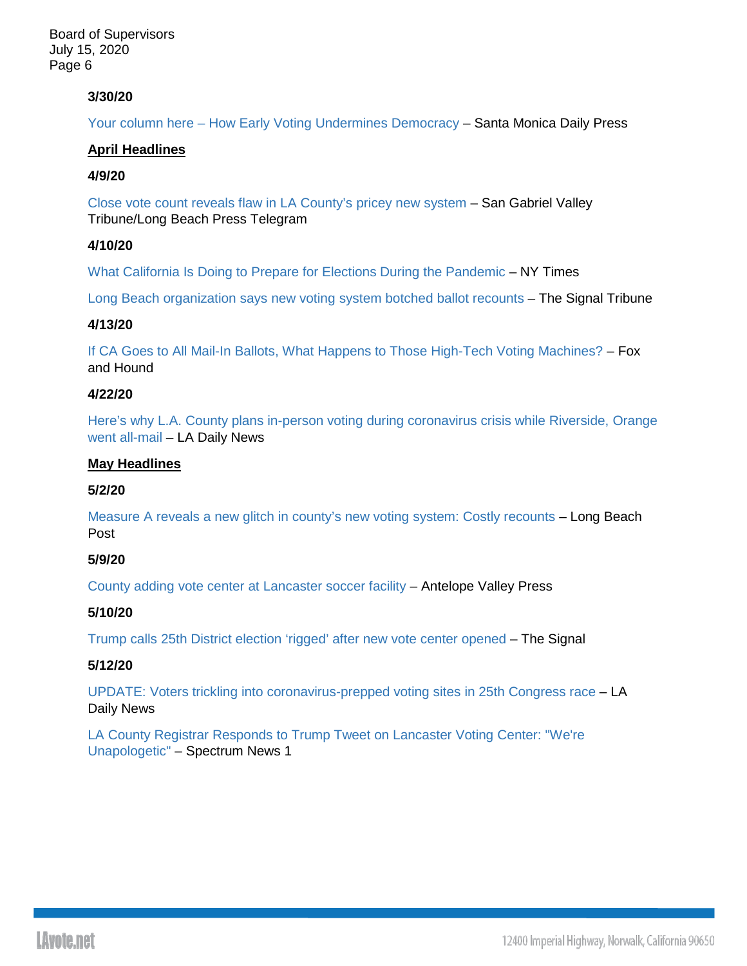# **3/30/20**

Your column here – [How Early Voting Undermines Democracy](https://www.smdp.com/how-early-voting-undermines-democracy/188471) – Santa Monica Daily Press

## **April Headlines**

## **4/9/20**

[Close vote count reveals flaw in LA County's pricey new system](https://www.sgvtribune.com/2020/04/09/close-vote-count-reveals-flaw-in-la-countys-pricey-new-system/) – San Gabriel Valley Tribune/Long Beach Press Telegram

# **4/10/20**

[What California Is Doing to Prepare for Elections During the Pandemic](https://www.nytimes.com/2020/04/10/us/california-mail-in-ballot-coronavirus.html) – NY Times

[Long Beach organization says new voting system botched ballot recounts](https://signaltribunenewspaper.com/48530/news/long-beach-organization-says-new-voting-system-botched-ballot-recounts/) – The Signal Tribune

## **4/13/20**

[If CA Goes to All Mail-In Ballots, What Happens to Those High-Tech Voting Machines?](http://www.foxandhoundsdaily.com/2020/04/if-ca-goes-to-all-mail-in-ballots-what-happens-to-those-high-tech-voting-machines/) – Fox and Hound

## **4/22/20**

[Here's why L.A. County plans in-person voting during coronavirus crisis while Riverside, Orange](https://www.dailynews.com/2020/04/22/heres-why-l-a-county-plans-in-person-voting-during-coronavirus-crisis-while-2-other-counties-went-all-mail/)  [went all-mail](https://www.dailynews.com/2020/04/22/heres-why-l-a-county-plans-in-person-voting-during-coronavirus-crisis-while-2-other-counties-went-all-mail/) – LA Daily News

## **May Headlines**

## **5/2/20**

[Measure A reveals a new glitch in county's new voting system: Costly recounts](https://lbpost.com/news/measure-a-reveals-a-new-glitch-in-countys-new-voting-system-costly-recounts) – Long Beach Post

## **5/9/20**

[County adding vote center at Lancaster soccer facility](https://www.avpress.com/news/county-adding-vote-center-at-lancaster-soccer-facility/article_6fc2b760-91a6-11ea-8c42-130f35db15b5.html) – Antelope Valley Press

### **5/10/20**

[Trump calls 25th District election 'rigged' after new vote center opened](https://signalscv.com/2020/05/trump-calls-25th-district-election-rigged-after-new-polling-location-opened/) – The Signal

### **5/12/20**

[UPDATE: Voters trickling into coronavirus-prepped voting sites in 25th Congress race](https://www.dailynews.com/2020/05/12/its-election-day-voters-have-their-day-at-last-in-northern-l-a-county-congressional-seat/) – LA Daily News

[LA County Registrar Responds to Trump Tweet on Lancaster Voting Center: "We're](https://spectrumnews1.com/ca/la-west/inside-the-issues/2020/05/12/la-county-registrar-responds-to-trump-tweet-on-lancaster-voting-site---we-re-unapologetic-)  [Unapologetic"](https://spectrumnews1.com/ca/la-west/inside-the-issues/2020/05/12/la-county-registrar-responds-to-trump-tweet-on-lancaster-voting-site---we-re-unapologetic-) – Spectrum News 1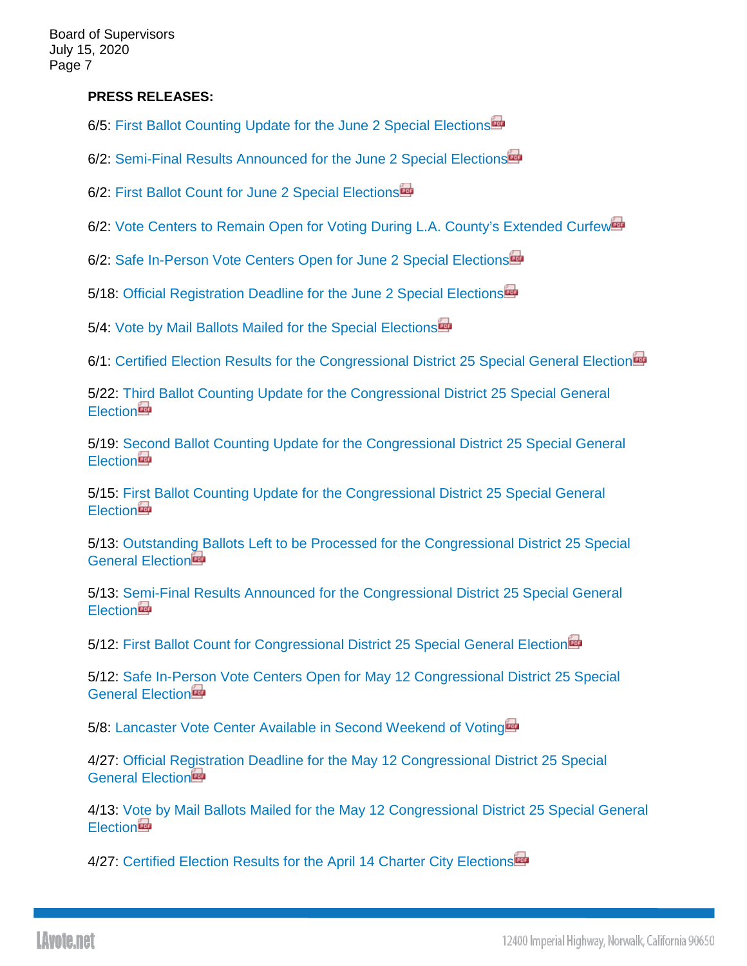# **PRESS RELEASES:**

6/5: [First Ballot Counting Update for the June 2 Special Elections](https://www.lavote.net/docs/rrcc/news-releases/06022020_first-ballot-count.pdf)

6/2: [Semi-Final Results Announced for the June 2 Special Elections](https://www.lavote.net/docs/rrcc/news-releases/06022020_semi-final-results.pdf)

6/2: [First Ballot Count for June 2 Special Elections](https://www.lavote.net/docs/rrcc/news-releases/06022020_first-results-update.pdf)

6/2: [Vote Centers to Remain Open for Voting During L.A. County's Extended Curfew](https://www.lavote.net/docs/rrcc/news-releases/06022020_vote-center-remain-open.pdf)

6/2: [Safe In-Person Vote Centers Open for June 2 Special Elections](https://www.lavote.net/docs/rrcc/news-releases/06022020_vote-center-open.pdf)

5/18: [Official Registration Deadline for the June 2 Special Elections](https://www.lavote.net/docs/rrcc/news-releases/06022020_Close-of-Reg.pdf)

5/4: [Vote by Mail Ballots Mailed for the Special Elections](https://www.lavote.net/docs/rrcc/news-releases/06022020_VBM-Mailing.pdf)

6/1: [Certified Election Results for the Congressional District 25 Special General Election](https://www.lavote.net/docs/rrcc/news-releases/05122020_certified-results.pdf?v=2)

5/22: [Third Ballot Counting Update for the Congressional District 25 Special General](https://www.lavote.net/docs/rrcc/news-releases/05122020_third-ballot-count.pdf?v=2)  **[Election](https://www.lavote.net/docs/rrcc/news-releases/05122020_third-ballot-count.pdf?v=2)** 

5/19: [Second Ballot Counting Update for the Congressional District 25 Special General](https://www.lavote.net/docs/rrcc/news-releases/05122020_second-ballot-count.pdf)  **[Election](https://www.lavote.net/docs/rrcc/news-releases/05122020_second-ballot-count.pdf)** 

5/15: [First Ballot Counting Update for the Congressional District 25 Special General](https://www.lavote.net/docs/rrcc/news-releases/05122020_first-ballot-count.pdf)  **[Election](https://www.lavote.net/docs/rrcc/news-releases/05122020_first-ballot-count.pdf)** 

5/13: [Outstanding Ballots Left to be Processed for the Congressional District 25 Special](https://www.lavote.net/docs/rrcc/news-releases/05122020_outstanding-ballots.pdf)  General Flection

5/13: [Semi-Final Results Announced for the Congressional District 25 Special General](https://www.lavote.net/docs/rrcc/news-releases/05122020_semi-final-results.pdf)  **[Election](https://www.lavote.net/docs/rrcc/news-releases/05122020_semi-final-results.pdf)** 

5/12: [First Ballot Count for Congressional District 25 Special General Election](https://www.lavote.net/docs/rrcc/news-releases/05122020_first-results-update.pdf)

5/12: [Safe In-Person Vote Centers Open for May 12 Congressional District 25 Special](https://www.lavote.net/docs/rrcc/news-releases/05122020_vote-center-open.pdf)  General Flection

5/8: [Lancaster Vote Center Available in Second Weekend of Voting](https://www.lavote.net/docs/rrcc/news-releases/05122020_Second-Weekend.pdf)

4/27: [Official Registration Deadline for the May 12 Congressional District 25 Special](https://www.lavote.net/docs/rrcc/news-releases/05122020_Close-of-Reg.pdf)  [General Election](https://www.lavote.net/docs/rrcc/news-releases/05122020_Close-of-Reg.pdf)

4/13: [Vote by Mail Ballots Mailed for the May 12 Congressional District 25 Special General](https://www.lavote.net/docs/rrcc/news-releases/05122020_VBM-Mailing.pdf)  **[Election](https://www.lavote.net/docs/rrcc/news-releases/05122020_VBM-Mailing.pdf)** 

4/27: [Certified Election Results for the April 14 Charter City Elections](https://www.lavote.net/docs/rrcc/news-releases/04142020_certified-results.pdf)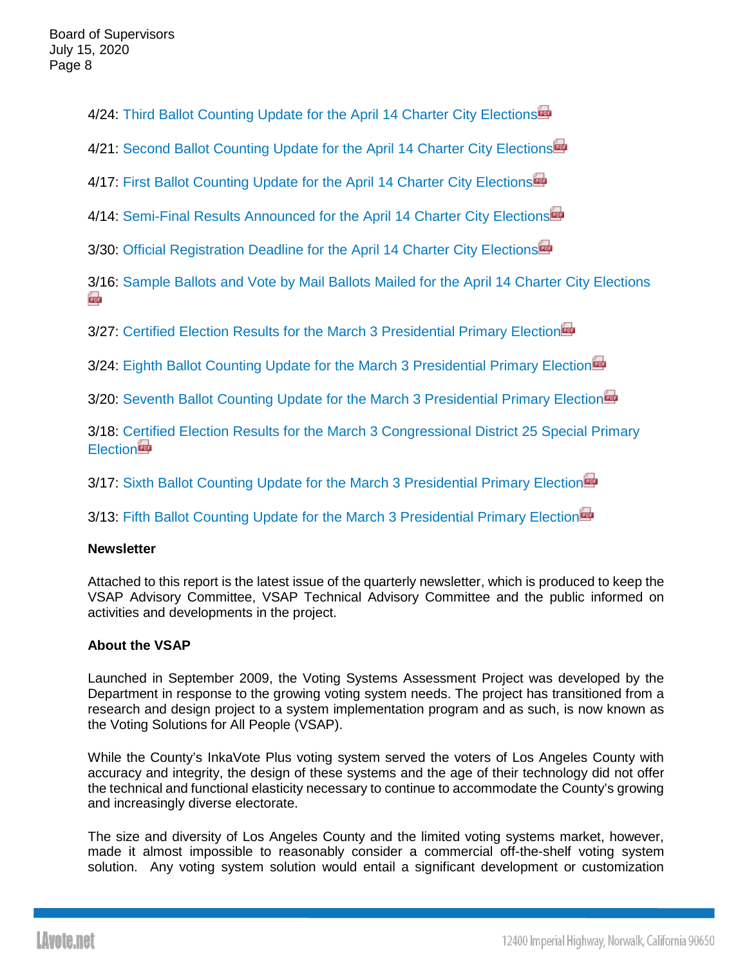4/24: [Third Ballot Counting Update for the April 14 Charter City Elections](https://www.lavote.net/docs/rrcc/news-releases/04142020_third-ballot-count.pdf)

4/21: [Second Ballot Counting Update for the April 14 Charter City Elections](https://www.lavote.net/docs/rrcc/news-releases/04142020_second-ballot-count.pdf)

4/17: [First Ballot Counting Update for the April 14 Charter City Elections](https://www.lavote.net/docs/rrcc/news-releases/04142020_first-ballot-count.pdf)

4/14: [Semi-Final Results Announced for the April 14 Charter City Elections](https://www.lavote.net/docs/rrcc/news-releases/04142020_semi-final-results.pdf)

3/30: [Official Registration Deadline for the April 14 Charter City Elections](https://www.lavote.net/docs/rrcc/news-releases/04142020_Close-of-Reg.pdf)

[3/1](https://www.lavote.net/docs/rrcc/news-releases/04142020_SBB-VBM.pdf)6: [Sample Ballots and Vote by Mail Ballots Mailed for the April 14 Charter City Elections](https://www.lavote.net/docs/rrcc/news-releases/04142020_SBB-VBM.pdf) **Exis** 

3/27: [Certified Election Results for the March 3 Presidential Primary Election](https://www.lavote.net/docs/rrcc/news-releases/03032020_certified-results.pdf)

3/24: [Eighth Ballot Counting Update for the March 3 Presidential Primary Election](https://www.lavote.net/docs/rrcc/news-releases/03032020_eighth-ballot-count.pdf)

3/20: [Seventh Ballot Counting Update for the March 3 Presidential Primary Election](https://www.lavote.net/docs/rrcc/news-releases/03032020_seventh-ballot-count.pdf)

3/18: [Certified Election Results for the March 3 Congressional District 25 Special Primary](https://www.lavote.net/docs/rrcc/news-releases/03032020_cd25-certified-results.pdf)  **[Election](https://www.lavote.net/docs/rrcc/news-releases/03032020_cd25-certified-results.pdf)** 

3/17: [Sixth Ballot Counting Update for the March 3 Presidential Primary Election](https://www.lavote.net/docs/rrcc/news-releases/03032020_sixth-ballot-count.pdf)

3/13: [Fifth Ballot Counting Update for the March 3 Presidential Primary Election](https://www.lavote.net/docs/rrcc/news-releases/03032020_fifth-ballot-count.pdf)

# **Newsletter**

Attached to this report is the latest issue of the quarterly newsletter, which is produced to keep the VSAP Advisory Committee, VSAP Technical Advisory Committee and the public informed on activities and developments in the project.

# **About the VSAP**

Launched in September 2009, the Voting Systems Assessment Project was developed by the Department in response to the growing voting system needs. The project has transitioned from a research and design project to a system implementation program and as such, is now known as the Voting Solutions for All People (VSAP).

While the County's InkaVote Plus voting system served the voters of Los Angeles County with accuracy and integrity, the design of these systems and the age of their technology did not offer the technical and functional elasticity necessary to continue to accommodate the County's growing and increasingly diverse electorate.

The size and diversity of Los Angeles County and the limited voting systems market, however, made it almost impossible to reasonably consider a commercial off-the-shelf voting system solution. Any voting system solution would entail a significant development or customization